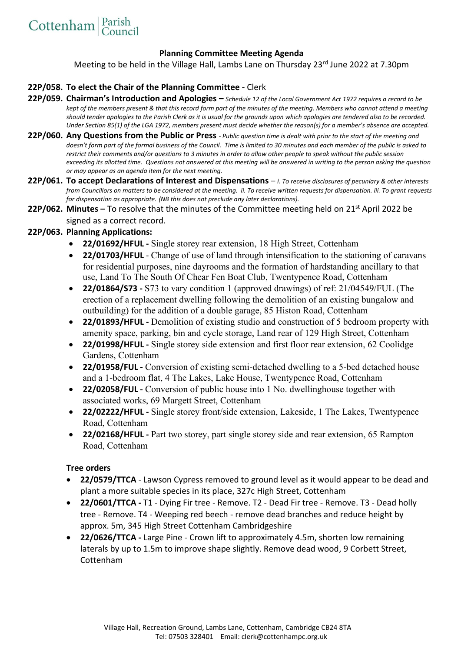### **Planning Committee Meeting Agenda**

Meeting to be held in the Village Hall, Lambs Lane on Thursday 23rd June 2022 at 7.30pm

### **22P/058. To elect the Chair of the Planning Committee -** Clerk

- **22P/059. Chairman's Introduction and Apologies –** *Schedule 12 of the Local Government Act 1972 requires a record to be kept of the members present & that this record form part of the minutes of the meeting. Members who cannot attend a meeting should tender apologies to the Parish Clerk as it is usual for the grounds upon which apologies are tendered also to be recorded. Under Section 85(1) of the LGA 1972, members present must decide whether the reason(s) for a member's absence are accepted.*
- **22P/060. Any Questions from the Public or Press** *- Public question time is dealt with prior to the start of the meeting and*  doesn't form part of the formal business of the Council. Time is limited to 30 minutes and each member of the public is asked to *restrict their comments and/or questions to 3 minutes in order to allow other people to speak without the public session exceeding its allotted time. Questions not answered at this meeting will be answered in writing to the person asking the question or may appear as an agenda item for the next meeting*.
- **22P/061. To accept Declarations of Interest and Dispensations**  *i. To receive disclosures of pecuniary & other interests from Councillors on matters to be considered at the meeting. ii. To receive written requests for dispensation. iii. To grant requests for dispensation as appropriate. (NB this does not preclude any later declarations).*
- **22P/062. Minutes –** To resolve that the minutes of the Committee meeting held on 21<sup>st</sup> April 2022 be signed as a correct record.

### **22P/063. Planning Applications:**

- **22/01692/HFUL -** Single storey rear extension, 18 High Street, Cottenham
- **22/01703/HFUL** Change of use of land through intensification to the stationing of caravans for residential purposes, nine dayrooms and the formation of hardstanding ancillary to that use, Land To The South Of Chear Fen Boat Club, Twentypence Road, Cottenham
- **22/01864/S73 -** S73 to vary condition 1 (approved drawings) of ref: 21/04549/FUL (The erection of a replacement dwelling following the demolition of an existing bungalow and outbuilding) for the addition of a double garage, 85 Histon Road, Cottenham
- **22/01893/HFUL -** Demolition of existing studio and construction of 5 bedroom property with amenity space, parking, bin and cycle storage, Land rear of 129 High Street, Cottenham
- **22/01998/HFUL -** Single storey side extension and first floor rear extension, 62 Coolidge Gardens, Cottenham
- **22/01958/FUL -** Conversion of existing semi-detached dwelling to a 5-bed detached house and a 1-bedroom flat, 4 The Lakes, Lake House, Twentypence Road, Cottenham
- **22/02058/FUL -** Conversion of public house into 1 No. dwellinghouse together with associated works, 69 Margett Street, Cottenham
- **22/02222/HFUL -** Single storey front/side extension, Lakeside, 1 The Lakes, Twentypence Road, Cottenham
- **22/02168/HFUL -** Part two storey, part single storey side and rear extension, 65 Rampton Road, Cottenham

#### **Tree orders**

- **22/0579/TTCA**  Lawson Cypress removed to ground level as it would appear to be dead and plant a more suitable species in its place, 327c High Street, Cottenham
- **22/0601/TTCA -** T1 Dying Fir tree Remove. T2 Dead Fir tree Remove. T3 Dead holly tree - Remove. T4 - Weeping red beech - remove dead branches and reduce height by approx. 5m, 345 High Street Cottenham Cambridgeshire
- **22/0626/TTCA -** Large Pine Crown lift to approximately 4.5m, shorten low remaining laterals by up to 1.5m to improve shape slightly. Remove dead wood, 9 Corbett Street, Cottenham